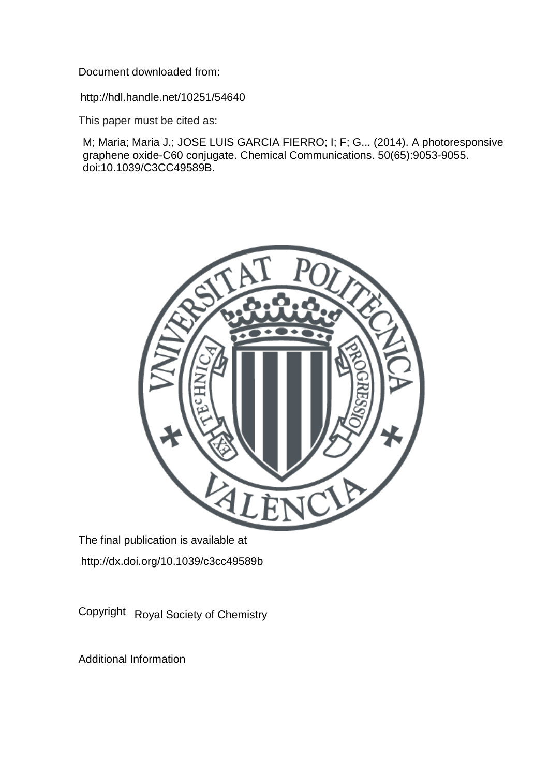Document downloaded from:

http://hdl.handle.net/10251/54640

This paper must be cited as:

M; Maria; Maria J.; JOSE LUIS GARCIA FIERRO; I; F; G... (2014). A photoresponsive graphene oxide-C60 conjugate. Chemical Communications. 50(65):9053-9055. doi:10.1039/C3CC49589B.



The final publication is available at http://dx.doi.org/10.1039/c3cc49589b

Copyright Royal Society of Chemistry

Additional Information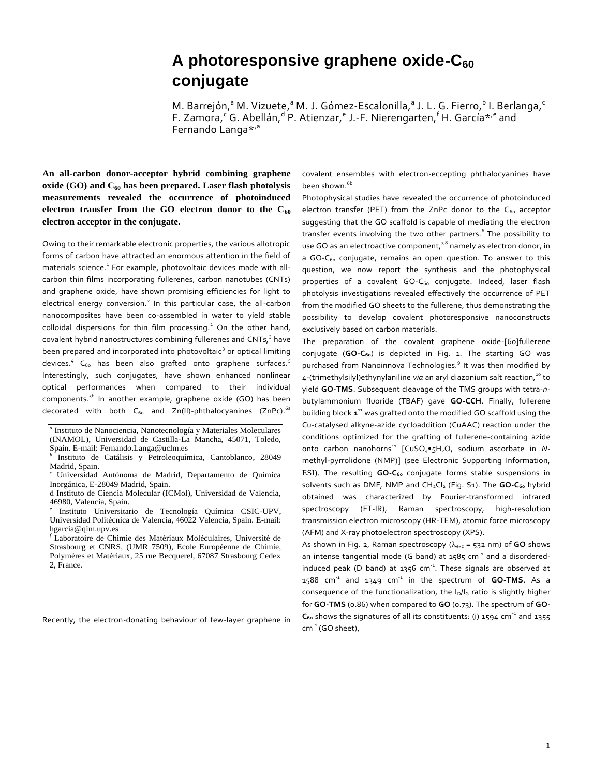## **A photoresponsive graphene oxide-C<sup>60</sup> conjugate**

M. Barrejón,<sup>a</sup> M. Vizuete,<sup>a</sup> M. J. Gómez-Escalonilla,<sup>a</sup> J. L. G. Fierro,<sup>b</sup> I. Berlanga,<sup>c</sup> F. Zamora, <sup>c</sup>G. Abellán, <sup>d.</sup> P. Atienzar, <sup>e</sup> J.-F. Nierengarten, <sup>f</sup> H. García\*<sup>, e</sup> and Fernando Langa\*'<sup>a</sup>

**An all-carbon donor-acceptor hybrid combining graphene oxide (GO) and C<sup>60</sup> has been prepared. Laser flash photolysis measurements revealed the occurrence of photoinduced electron transfer from the GO electron donor to the C<sup>60</sup> electron acceptor in the conjugate.**

Owing to their remarkable electronic properties, the various allotropic forms of carbon have attracted an enormous attention in the field of materials science.<sup>1</sup> For example, photovoltaic devices made with allcarbon thin films incorporating fullerenes, carbon nanotubes (CNTs) and graphene oxide, have shown promising efficiencies for light to electrical energy conversion.<sup>2</sup> In this particular case, the all-carbon nanocomposites have been co-assembled in water to yield stable colloidal dispersions for thin film processing.<sup>2</sup> On the other hand, covalent hybrid nanostructures combining fullerenes and CNTs,<sup>3</sup> have been prepared and incorporated into photovoltaic<sup>3</sup> or optical limiting devices.<sup>4</sup> C<sub>60</sub> has been also grafted onto graphene surfaces.<sup>5</sup> Interestingly, such conjugates, have shown enhanced nonlinear optical performances when compared to their individual components.<sup>5b</sup> In another example, graphene oxide (GO) has been decorated with both  $C_{60}$  and Zn(II)-phthalocyanines (ZnPc).<sup>6a</sup>

Recently, the electron-donating behaviour of few-layer graphene in

covalent ensembles with electron-eccepting phthalocyanines have been shown.<sup>6b</sup>

Photophysical studies have revealed the occurrence of photoinduced electron transfer (PET) from the ZnPc donor to the  $C_{60}$  acceptor suggesting that the GO scaffold is capable of mediating the electron transfer events involving the two other partners.<sup>6</sup> The possibility to use GO as an electroactive component, $7^8$  namely as electron donor, in a GO- $C_{60}$  conjugate, remains an open question. To answer to this question, we now report the synthesis and the photophysical properties of a covalent GO-C<sub>60</sub> conjugate. Indeed, laser flash photolysis investigations revealed effectively the occurrence of PET from the modified GO sheets to the fullerene, thus demonstrating the possibility to develop covalent photoresponsive nanoconstructs exclusively based on carbon materials.

The preparation of the covalent graphene oxide-[60]fullerene conjugate (**GO-C60**) is depicted in Fig. 1. The starting GO was purchased from Nanoinnova Technologies.<sup>9</sup> It was then modified by 4-(trimethylsilyl)ethynylaniline via an aryl diazonium salt reaction,<sup>10</sup> to yield **GO-TMS**. Subsequent cleavage of the TMS groups with tetra-*n*butylammonium fluoride (TBAF) gave **GO-CCH**. Finally, fullerene building block **1** <sup>11</sup> was grafted onto the modified GO scaffold using the Cu-catalysed alkyne-azide cycloaddition (CuAAC) reaction under the conditions optimized for the grafting of fullerene-containing azide onto carbon nanohorns<sup>11</sup> [CuSO<sub>4</sub>•5H<sub>2</sub>O, sodium ascorbate in *N*methyl-pyrrolidone (NMP)] (see Electronic Supporting Information, ESI). The resulting **GO-C**<sup>60</sup> conjugate forms stable suspensions in solvents such as DMF, NMP and CH<sub>2</sub>Cl<sub>2</sub> (Fig. S1). The GO-C<sub>60</sub> hybrid obtained was characterized by Fourier-transformed infrared spectroscopy (FT-IR), Raman spectroscopy, high-resolution transmission electron microscopy (HR-TEM), atomic force microscopy (AFM) and X-ray photoelectron spectroscopy (XPS).

As shown in Fig. 2, Raman spectroscopy ( $\lambda_{\text{exc}}$  = 532 nm) of **GO** shows an intense tangential mode (G band) at  $1585$  cm<sup>-1</sup> and a disorderedinduced peak (D band) at  $1356$  cm<sup>-1</sup>. These signals are observed at 1588 cm-1 and 1349 cm-1 in the spectrum of **GO-TMS**. As a consequence of the functionalization, the I<sub>D</sub>/I<sub>G</sub> ratio is slightly higher for **GO-TMS** (0.86) when compared to **GO** (0.73). The spectrum of **GO-**C<sub>60</sub> shows the signatures of all its constituents: (i) 1594 cm<sup>-1</sup> and 1355 cm<sup>-1</sup> (GO sheet),

*a* Instituto de Nanociencia, Nanotecnología y Materiales Moleculares (INAMOL), Universidad de Castilla-La Mancha, 45071, Toledo, Spain. E-mail[: Fernando.Langa@uclm.es](mailto:Fernando.LPuente@uclm.es)

*b* Instituto de Catálisis y Petroleoquímica, Cantoblanco, 28049 Madrid, Spain.

*<sup>c</sup>* Universidad Autónoma de Madrid, Departamento de Química Inorgánica, E-28049 Madrid, Spain.

d Instituto de Ciencia Molecular (ICMol), Universidad de Valencia, 46980, Valencia, Spain.

*e* Instituto Universitario de Tecnología Química CSIC-UPV, Universidad Politécnica de Valencia, 46022 Valencia, Spain. E-mail: [hgarcia@qim.upv.es](mailto:hgarcia@qim.upv.es)

*<sup>f</sup>* Laboratoire de Chimie des Matériaux Moléculaires, Université de Strasbourg et CNRS, (UMR 7509), Ecole Européenne de Chimie, Polymères et Matériaux, 25 rue Becquerel, 67087 Strasbourg Cedex 2, France.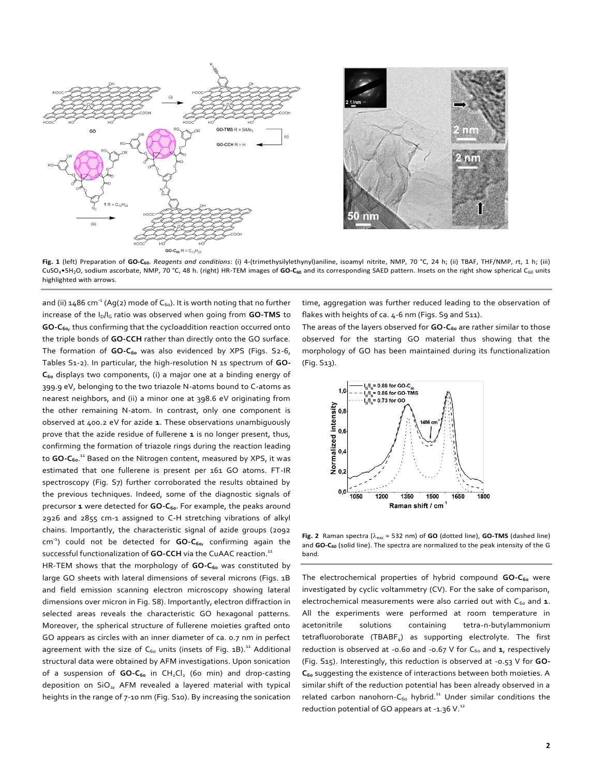



**Fig. 1** (left) Preparation of **GO-C60**. *Reagents and conditions*: (i) 4-(trimethysilylethynyl)aniline, isoamyl nitrite, NMP, 70 °C, 24 h; (ii) TBAF, THF/NMP, rt, 1 h; (iii) CuSO4•5H2O, sodium ascorbate, NMP, 70 °C, 48 h. (right) HR-TEM images of **GO-C<sup>60</sup>** and its corresponding SAED pattern. Insets on the right show spherical C<sup>60</sup> units highlighted with arrows.

and (ii) 1486 cm<sup>-1</sup> (Ag(2) mode of C $_{60}$ ). It is worth noting that no further increase of the I<sub>D</sub>/I<sub>G</sub> ratio was observed when going from **GO-TMS** to **GO-C60**, thus confirming that the cycloaddition reaction occurred onto the triple bonds of **GO-CCH** rather than directly onto the GO surface. The formation of **GO-C**<sup>60</sup> was also evidenced by XPS (Figs. S<sub>2</sub>-6, Tables S1-2). In particular, the high-resolution N 1s spectrum of **GO-C<sup>60</sup>** displays two components, (i) a major one at a binding energy of 399.9 eV, belonging to the two triazole N-atoms bound to C-atoms as nearest neighbors, and (ii) a minor one at 398.6 eV originating from the other remaining N-atom. In contrast, only one component is observed at 400.2 eV for azide **1**. These observations unambiguously prove that the azide residue of fullerene **1** is no longer present, thus, confirming the formation of triazole rings during the reaction leading to **GO-C60**. <sup>11</sup> Based on the Nitrogen content, measured by XPS, it was estimated that one fullerene is present per 161 GO atoms. FT-IR spectroscopy (Fig. S7) further corroborated the results obtained by the previous techniques. Indeed, some of the diagnostic signals of precursor **1** were detected for **GO-C60**. For example, the peaks around 2926 and 2855 cm-1 assigned to C-H stretching vibrations of alkyl chains. Importantly, the characteristic signal of azide groups (2092 cm -1 ) could not be detected for **GO-C60**, confirming again the successful functionalization of **GO-CCH** via the CuAAC reaction.<sup>11</sup>

HR-TEM shows that the morphology of **GO-C<sup>60</sup>** was constituted by large GO sheets with lateral dimensions of several microns (Figs. 1B and field emission scanning electron microscopy showing lateral dimensions over micron in Fig. S8). Importantly, electron diffraction in selected areas reveals the characteristic GO hexagonal patterns. Moreover, the spherical structure of fullerene moieties grafted onto GO appears as circles with an inner diameter of ca. 0.7 nm in perfect agreement with the size of  $C_{60}$  units (insets of Fig. 1B).<sup>11</sup> Additional structural data were obtained by AFM investigations. Upon sonication of a suspension of **GO-C**<sup>60</sup> in CH<sub>2</sub>Cl<sub>2</sub> (60 min) and drop-casting deposition on  $SiO<sub>2</sub>$ , AFM revealed a layered material with typical heights in the range of 7-10 nm (Fig. S10). By increasing the sonication time, aggregation was further reduced leading to the observation of flakes with heights of ca. 4-6 nm (Figs. S9 and S11).

The areas of the layers observed for **GO-C<sup>60</sup>** are rather similar to those observed for the starting GO material thus showing that the morphology of GO has been maintained during its functionalization (Fig. S13).



Fig. 2 Raman spectra ( $\lambda_{\text{exc}}$  = 532 nm) of **GO** (dotted line), **GO-TMS** (dashed line) and **GO-C<sup>60</sup>** (solid line). The spectra are normalized to the peak intensity of the G band.

The electrochemical properties of hybrid compound **GO-C<sup>60</sup>** were investigated by cyclic voltammetry (CV). For the sake of comparison, electrochemical measurements were also carried out with C<sub>60</sub> and 1. All the experiments were performed at room temperature in acetonitrile solutions containing tetra-n-butylammonium tetrafluoroborate (TBABF<sub>4</sub>) as supporting electrolyte. The first reduction is observed at -0.60 and -0.67 V for C<sub>60</sub> and 1, respectively (Fig. S15). Interestingly, this reduction is observed at -0.53 V for **GO-C<sup>60</sup>** suggesting the existence of interactions between both moieties. A similar shift of the reduction potential has been already observed in a related carbon nanohorn- $C_{60}$  hybrid.<sup>11</sup> Under similar conditions the reduction potential of GO appears at -1.36 V. $^{12}$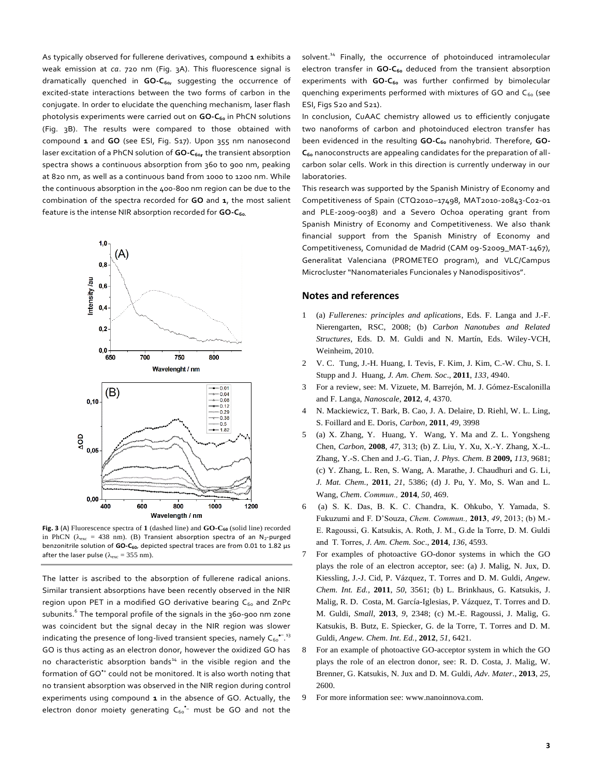As typically observed for fullerene derivatives, compound **1** exhibits a weak emission at *ca*. 720 nm (Fig. 3A). This fluorescence signal is dramatically quenched in **GO-C60**, suggesting the occurrence of excited-state interactions between the two forms of carbon in the conjugate. In order to elucidate the quenching mechanism, laser flash photolysis experiments were carried out on **GO-C**<sup>60</sup> in PhCN solutions (Fig. 3B). The results were compared to those obtained with compound **1** and **GO** (see ESI, Fig. S17). Upon 355 nm nanosecond laser excitation of a PhCN solution of **GO-C60,** the transient absorption spectra shows a continuous absorption from 360 to 900 nm, peaking at 820 nm, as well as a continuous band from 1000 to 1200 nm. While the continuous absorption in the 400-800 nm region can be due to the combination of the spectra recorded for **GO** and **1**, the most salient feature is the intense NIR absorption recorded for **GO-C60.**



**Fig. 3** (A) Fluorescence spectra of **1** (dashed line) and **GO-C<sup>60</sup>** (solid line) recorded in PhCN ( $\lambda_{\text{exc}}$  = 438 nm). (B) Transient absorption spectra of an N<sub>2</sub>-purged benzonitrile solution of **GO-C60**, depicted spectral traces are from 0.01 to 1.82 µs after the laser pulse ( $\lambda_{\rm exc} = 355$  nm).

The latter is ascribed to the absorption of fullerene radical anions. Similar transient absorptions have been recently observed in the NIR region upon PET in a modified GO derivative bearing  $C_{60}$  and ZnPc subunits.<sup>6</sup> The temporal profile of the signals in the 360-900 nm zone was coincident but the signal decay in the NIR region was slower indicating the presence of long-lived transient species, namely  $\mathsf{C_{60}}^{\bullet -13}$ GO is thus acting as an electron donor, however the oxidized GO has no characteristic absorption bands<sup>14</sup> in the visible region and the formation of GO\*+ could not be monitored. It is also worth noting that no transient absorption was observed in the NIR region during control experiments using compound **1** in the absence of GO. Actually, the electron donor moiety generating  $C_{60}$ <sup>+</sup> must be GO and not the

solvent.<sup>14</sup> Finally, the occurrence of photoinduced intramolecular electron transfer in **GO-C<sup>60</sup>** deduced from the transient absorption experiments with **GO-C<sup>60</sup>** was further confirmed by bimolecular quenching experiments performed with mixtures of GO and  $C_{60}$  (see ESI, Figs S20 and S21).

In conclusion, CuAAC chemistry allowed us to efficiently conjugate two nanoforms of carbon and photoinduced electron transfer has been evidenced in the resulting GO-C<sub>60</sub> nanohybrid. Therefore, GO-**C<sup>60</sup>** nanoconstructs are appealing candidates for the preparation of allcarbon solar cells. Work in this direction is currently underway in our laboratories.

This research was supported by the Spanish Ministry of Economy and Competitiveness of Spain (CTQ2010–17498, MAT2010-20843-C02-01 and PLE-2009-0038) and a Severo Ochoa operating grant from Spanish Ministry of Economy and Competitiveness. We also thank financial support from the Spanish Ministry of Economy and Competitiveness, Comunidad de Madrid (CAM 09-S2009\_MAT-1467), Generalitat Valenciana (PROMETEO program), and VLC/Campus Microcluster "Nanomateriales Funcionales y Nanodispositivos".

## **Notes and references**

- 1 (a) *Fullerenes: principles and aplications*, Eds. F. Langa and J.-F. Nierengarten, RSC, 2008; (b) *Carbon Nanotubes and Related Structures*, Eds. D. M. Guldi and N. Martín, Eds. Wiley-VCH, Weinheim, 2010.
- 2 V. C. Tung, J.-H. Huang, I. Tevis, F. Kim, J. Kim, C.-W. Chu, S. I. Stupp and J*.* Huang, *J. Am. Chem. Soc*., **2011**, *133*, 4940.
- 3 For a review, see: M. Vizuete, M. Barrejón, M. J. Gómez-Escalonilla and F. Langa, *Nanoscale*, **2012**, *4*, 4370.
- 4 N. Mackiewicz, T. Bark, B. Cao, J. A. Delaire, D. Riehl, W. L. Ling, S. Foillard and E. Doris, *Carbon*, **2011**, *49*, 3998
- 5 (a) X. Zhang, Y. Huang, Y. Wang, Y. Ma and Z. L. Yongsheng Chen, *Carbon*, **2008**, *47*, 313; (b) Z. Liu, Y. Xu, X.-Y. Zhang, X.-L. Zhang, Y.-S. Chen and J.-G. Tian, *J. Phys. Chem. B* **2009,** *113,* 9681; (c) Y. Zhang, L. Ren, S. Wang, A. Marathe, J. Chaudhuri and G. Li*, J. Mat. Chem.*, **2011***, 21*, 5386; (d) J. Pu, Y. Mo, S. Wan and L. Wang, *Chem. Commun.,* **2014**, *50,* 469.
- 6 (a) S. K. Das, B. K. C. Chandra, K. Ohkubo, Y. Yamada, S. Fukuzumi and F. D'Souza, *Chem. Commun.,* **2013**, *49*, 2013; (b) M.- E. Ragoussi, G. Katsukis, A. Roth, J. M., G.de la Torre, D. M. Guldi and T. Torres, *J. Am. Chem. Soc*., **2014**, *136*, 4593.
- 7 For examples of photoactive GO-donor systems in which the GO plays the role of an electron acceptor, see: (a) J. Malig, N. Jux, D. Kiessling, J.-J. Cid, P. Vázquez, T. Torres and D. M. Guldi, *Angew. Chem. Int. Ed.,* **2011**, *50*, 3561; (b) L. Brinkhaus, G. Katsukis, J. Malig, R. D. Costa, M. García-Iglesias, P. Vázquez, T. Torres and D. M. Guldi, *Small*, **2013**, *9*, 2348; (c) M.-E. Ragoussi, J. Malig, G. Katsukis, B. Butz, E. Spiecker, G. de la Torre, T. Torres and D. M. Guldi, *Angew. Chem. Int. Ed.,* **2012**, *51*, 6421.
- 8 For an example of photoactive GO-acceptor system in which the GO plays the role of an electron donor, see: R. D. Costa, J. Malig, W. Brenner, G. Katsukis, N. Jux and D. M. Guldi, *Adv. Mater*., **2013**, *25*, 2600.
- 9 For more information see: www.nanoinnova.com.